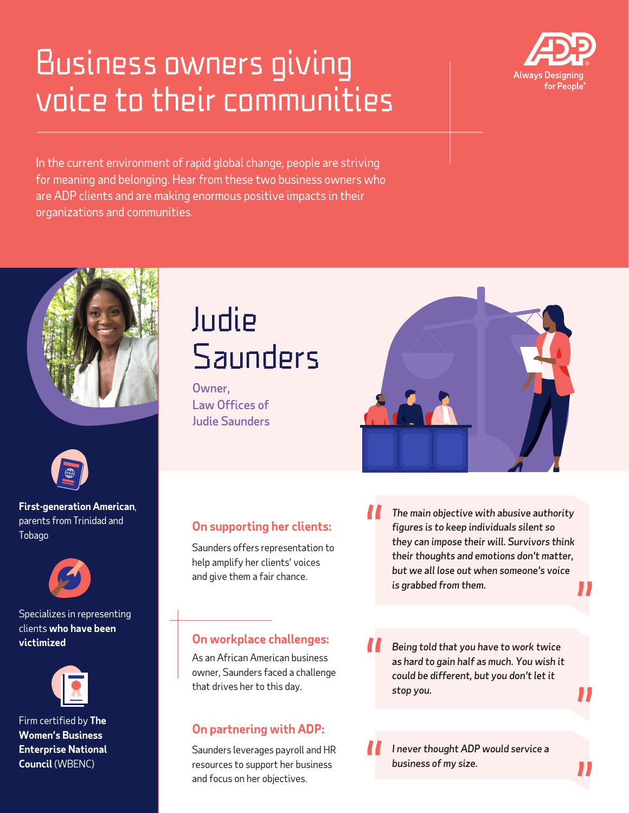## Business owners giving voice to their communities



In the current environment of rapid global change, people are striving for meaning and belonging. Hear from these two business owners who are ADP clients and are making enormous positive impacts in their organizations and communities.





**First-generation American**, parents from Trinidad and Tobago



Specializes in representing clients **who have been victimized**



Firm certified by **The Women's Business Enterprise National Council** (WBENC)

### Judie **Saunders**

Owner, Law Offices of Judie Saunders



#### **On supporting her clients:**

Saunders offers representation to help amplify her clients' voices and give them a fair chance.

*The main objective with abusive authority figures is to keep individuals silent so they can impose their will. Survivors think their thoughts and emotions don't matter, but we all lose out when someone's voice is grabbed from them.*

As an African American business owner, Saunders faced a challenge that drives her to this day.

### **On partnering with ADP:**

Saunders leverages payroll and HR resources to support her business and focus on her objectives.

**On workplace challenges:** *Being told that you have to work twice as hard to gain half as much. You wish it could be different, but you don't let it stop you.*

> *I never thought ADP would service a business of my size.*